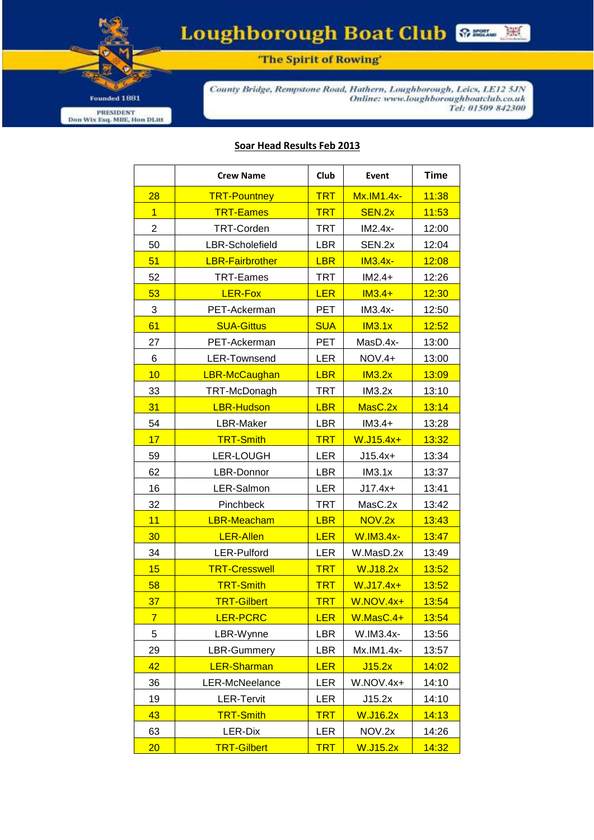Founded 1881 PRESIDENT<br>Don Wix Esq. MBE, Hon DLitt

Loughborough Boat Club

"The Spirit of Rowing'

County Bridge, Rempstone Road, Hathern, Loughborough, Leics, LE12 5JN Online: www.loughboroughboatclub.co.uk<br>Tel: 01509 842300

## Soar Head Results Feb 2013

|                | <b>Crew Name</b>       | Club       | Event             | Time  |
|----------------|------------------------|------------|-------------------|-------|
| 28             | <b>TRT-Pountney</b>    | <b>TRT</b> | <b>Mx.IM1.4x-</b> | 11:38 |
| $\overline{1}$ | <b>TRT-Eames</b>       | <b>TRT</b> | SEN.2x            | 11:53 |
| $\overline{2}$ | <b>TRT-Corden</b>      | <b>TRT</b> | $IM2.4x-$         | 12:00 |
| 50             | LBR-Scholefield        | <b>LBR</b> | SEN.2x            | 12:04 |
| 51             | <b>LBR-Fairbrother</b> | <b>LBR</b> | <b>IM3.4x-</b>    | 12:08 |
| 52             | TRT-Eames              | <b>TRT</b> | $IM2.4+$          | 12:26 |
| 53             | <b>LER-Fox</b>         | <b>LER</b> | $IM3.4+$          | 12:30 |
| 3              | PET-Ackerman           | PET        | IM3.4x-           | 12:50 |
| 61             | <b>SUA-Gittus</b>      | <b>SUA</b> | IM3.1x            | 12:52 |
| 27             | PET-Ackerman           | <b>PET</b> | MasD.4x-          | 13:00 |
| 6              | LER-Townsend           | <b>LER</b> | <b>NOV.4+</b>     | 13:00 |
| 10             | <b>LBR-McCaughan</b>   | <b>LBR</b> | IM3.2x            | 13:09 |
| 33             | TRT-McDonagh           | <b>TRT</b> | IM3.2x            | 13:10 |
| 31             | <b>LBR-Hudson</b>      | <b>LBR</b> | MasC.2x           | 13:14 |
| 54             | LBR-Maker              | <b>LBR</b> | $IM3.4+$          | 13:28 |
| 17             | <b>TRT-Smith</b>       | <b>TRT</b> | W.J15.4x+         | 13:32 |
| 59             | <b>LER-LOUGH</b>       | <b>LER</b> | $J15.4x+$         | 13:34 |
| 62             | LBR-Donnor             | <b>LBR</b> | IM3.1x            | 13:37 |
| 16             | LER-Salmon             | <b>LER</b> | $J17.4x+$         | 13:41 |
| 32             | Pinchbeck              | <b>TRT</b> | MasC.2x           | 13:42 |
| 11             | <b>LBR-Meacham</b>     | <b>LBR</b> | NOV.2x            | 13:43 |
| 30             | <b>LER-Allen</b>       | <b>LER</b> | <b>W.IM3.4x-</b>  | 13:47 |
| 34             | LER-Pulford            | <b>LER</b> | W.MasD.2x         | 13:49 |
| 15             | <b>TRT-Cresswell</b>   | <b>TRT</b> | <b>W.J18.2x</b>   | 13:52 |
| 58             | <b>TRT-Smith</b>       | <b>TRT</b> | W.J17.4x+         | 13:52 |
| 37             | <b>TRT-Gilbert</b>     | <b>TRT</b> | <b>W.NOV.4x+</b>  | 13:54 |
| $\overline{7}$ | <b>LER-PCRC</b>        | <u>LER</u> | W.MasC.4+         | 13:54 |
| 5              | LBR-Wynne              | LBR        | W.IM3.4x-         | 13:56 |
| 29             | LBR-Gummery            | <b>LBR</b> | Mx.IM1.4x-        | 13:57 |
| 42             | <b>LER-Sharman</b>     | <b>LER</b> | J15.2x            | 14:02 |
| 36             | LER-McNeelance         | LER        | W.NOV.4x+         | 14:10 |
| 19             | <b>LER-Tervit</b>      | LER        | J15.2x            | 14:10 |
| 43             | <b>TRT-Smith</b>       | <b>TRT</b> | W.J16.2x          | 14:13 |
| 63             | LER-Dix                | LER        | NOV.2x            | 14:26 |
| 20             | <b>TRT-Gilbert</b>     | <b>TRT</b> | W.J15.2x          | 14:32 |